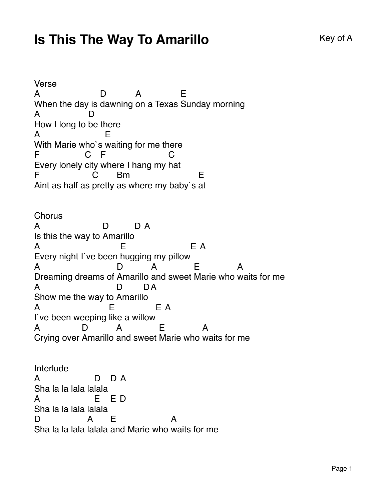## **Is This The Way To Amarillo** Key of A

Verse A When the day is dawning on a Texas Sunday morning D A E A How I long to be there D A With Marie who`s waiting for me there E F Every lonely city where I hang my hat C. F C F Aint as half as pretty as where my baby`s at  $\mathcal{C}$ Bm E **Chorus** A Is this the way to Amarillo D D A A Every night I`ve been hugging my pillow E E A A Dreaming dreams of Amarillo and sweet Marie who waits for me D A E A A Show me the way to Amarill o D D A A I`ve been weeping like a willow E E A A Crying over Amarillo and sweet Marie who waits for me D. A E A Interlude A Sha la la lala la lala D D A A Sha la la lala la lala E E D D. Sha la la lala lalala and Marie who waits for me A E A